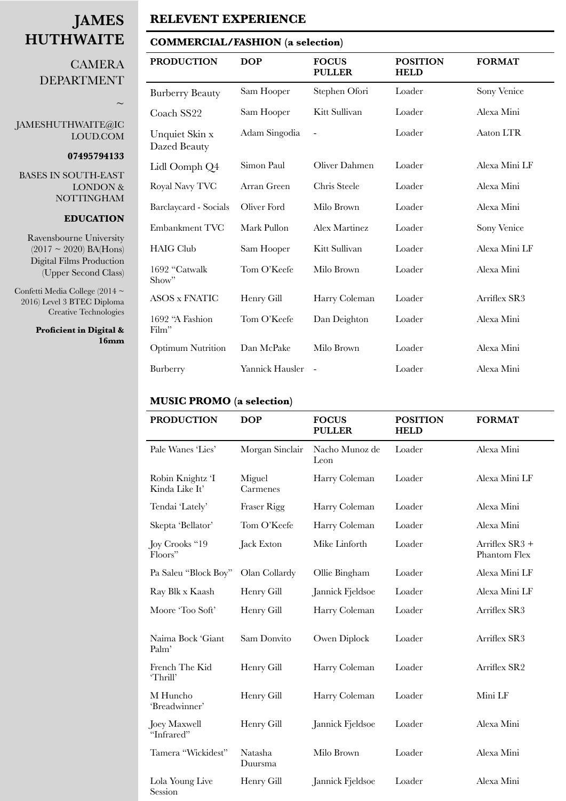# **JAMES HUTHWAITE**

## **CAMERA** DEPARTMENT

## [JAMESHUTHWAITE@IC](mailto:JAMESHUTHWAITE@ICLOUD.COM) [LOUD.COM](mailto:JAMESHUTHWAITE@ICLOUD.COM)

#### **07495794133**

**∼** 

BASES IN SOUTH-EAST LONDON & NOTTINGHAM

#### **EDUCATION**

Ravensbourne University  $(2017 \sim 2020)$  BA(Hons) Digital Films Production (Upper Second Class)

Confetti Media College (2014 ~ 2016) Level 3 BTEC Diploma Creative Technologies

> **Proficient in Digital & 16mm**

## **RELEVENT EXPERIENCE**

#### **COMMERCIAL/FASHION (a selection)**

| <b>PRODUCTION</b>              | <b>DOP</b>      | <b>FOCUS</b><br><b>PULLER</b> | <b>POSITION</b><br><b>HELD</b> | <b>FORMAT</b> |
|--------------------------------|-----------------|-------------------------------|--------------------------------|---------------|
| <b>Burberry Beauty</b>         | Sam Hooper      | Stephen Ofori                 | Loader                         | Sony Venice   |
| Coach SS22                     | Sam Hooper      | Kitt Sullivan                 | Loader                         | Alexa Mini    |
| Unquiet Skin x<br>Dazed Beauty | Adam Singodia   |                               | Loader                         | Aaton LTR     |
| Lidl Oomph Q4                  | Simon Paul      | Oliver Dahmen                 | Loader                         | Alexa Mini LF |
| Royal Navy TVC                 | Arran Green     | Chris Steele                  | Loader                         | Alexa Mini    |
| Barclaycard - Socials          | Oliver Ford     | Milo Brown                    | Loader                         | Alexa Mini    |
| Embankment TVC                 | Mark Pullon     | <b>Alex Martinez</b>          | Loader                         | Sony Venice   |
| <b>HAIG Club</b>               | Sam Hooper      | Kitt Sullivan                 | Loader                         | Alexa Mini LF |
| 1692 "Catwalk<br>Show"         | Tom O'Keefe     | Milo Brown                    | Loader                         | Alexa Mini    |
| <b>ASOS x FNATIC</b>           | Henry Gill      | Harry Coleman                 | Loader                         | Arriflex SR3  |
| 1692 "A Fashion<br>Film"       | Tom O'Keefe     | Dan Deighton                  | Loader                         | Alexa Mini    |
| <b>Optimum Nutrition</b>       | Dan McPake      | Milo Brown                    | Loader                         | Alexa Mini    |
| Burberry                       | Yannick Hausler | $\overline{a}$                | Loader                         | Alexa Mini    |

### **MUSIC PROMO (a selection)**

| <b>PRODUCTION</b>                  | <b>DOP</b>         | <b>FOCUS</b><br><b>PULLER</b> | <b>POSITION</b><br><b>HELD</b> | <b>FORMAT</b>                    |
|------------------------------------|--------------------|-------------------------------|--------------------------------|----------------------------------|
| Pale Wanes 'Lies'                  | Morgan Sinclair    | Nacho Munoz de<br>Leon        | Loader                         | Alexa Mini                       |
| Robin Knightz 'I<br>Kinda Like It' | Miguel<br>Carmenes | Harry Coleman                 | Loader                         | Alexa Mini LF                    |
| Tendai 'Lately'                    | <b>Fraser Rigg</b> | Harry Coleman                 | Loader                         | Alexa Mini                       |
| Skepta 'Bellator'                  | Tom O'Keefe        | Harry Coleman                 | Loader                         | Alexa Mini                       |
| Joy Crooks "19<br>Floors"          | Jack Exton         | Mike Linforth                 | Loader                         | Arriflex $SR3 +$<br>Phantom Flex |
| Pa Saleu "Block Boy"               | Olan Collardy      | Ollie Bingham                 | Loader                         | Alexa Mini LF                    |
| Ray Blk x Kaash                    | Henry Gill         | Jannick Fjeldsoe              | Loader                         | Alexa Mini LF                    |
| Moore 'Too Soft'                   | Henry Gill         | Harry Coleman                 | Loader                         | Arriflex SR3                     |
| Naima Bock 'Giant<br>Palm'         | Sam Donvito        | Owen Diplock                  | Loader                         | Arriflex SR3                     |
| French The Kid<br>'Thrill'         | Henry Gill         | Harry Coleman                 | Loader                         | Arriflex SR2                     |
| M Huncho<br>'Breadwinner'          | Henry Gill         | Harry Coleman                 | Loader                         | Mini LF                          |
| Joey Maxwell<br>"Infrared"         | Henry Gill         | Jannick Fjeldsoe              | Loader                         | Alexa Mini                       |
| Tamera "Wickidest"                 | Natasha<br>Duursma | Milo Brown                    | Loader                         | Alexa Mini                       |
| Lola Young Live<br>Session         | Henry Gill         | Jannick Fjeldsoe              | Loader                         | Alexa Mini                       |